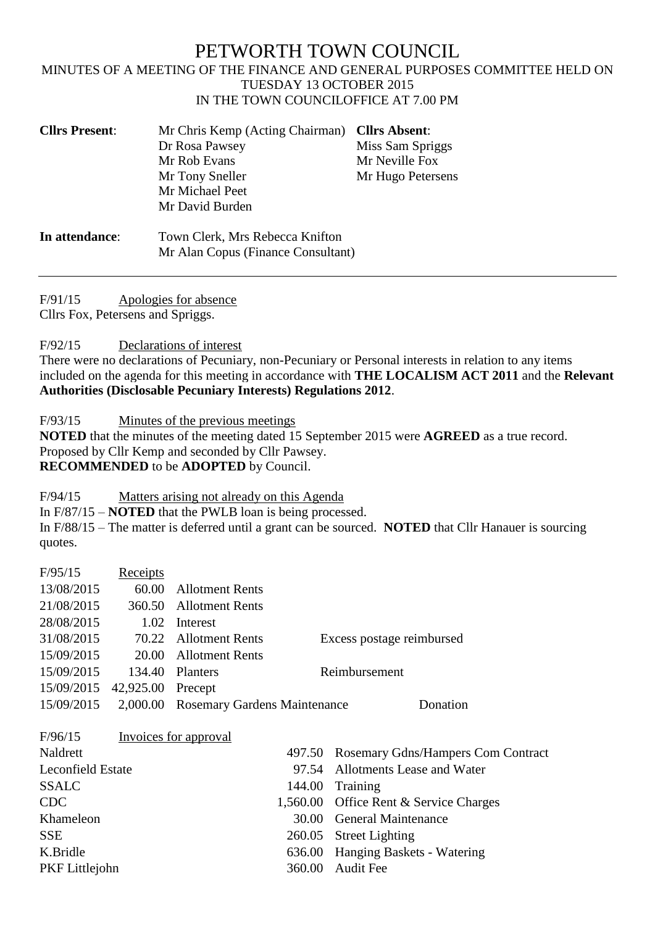## PETWORTH TOWN COUNCIL

## MINUTES OF A MEETING OF THE FINANCE AND GENERAL PURPOSES COMMITTEE HELD ON TUESDAY 13 OCTOBER 2015 IN THE TOWN COUNCILOFFICE AT 7.00 PM

| <b>Cllrs Present:</b> | Mr Chris Kemp (Acting Chairman)<br>Dr Rosa Pawsey<br>Mr Rob Evans<br>Mr Tony Sneller<br>Mr Michael Peet<br>Mr David Burden | <b>Cllrs Absent:</b><br>Miss Sam Spriggs<br>Mr Neville Fox<br>Mr Hugo Petersens |
|-----------------------|----------------------------------------------------------------------------------------------------------------------------|---------------------------------------------------------------------------------|
| In attendance:        | Town Clerk, Mrs Rebecca Knifton<br>Mr Alan Copus (Finance Consultant)                                                      |                                                                                 |

F/91/15 Apologies for absence

Cllrs Fox, Petersens and Spriggs.

F/92/15 Declarations of interest

There were no declarations of Pecuniary, non-Pecuniary or Personal interests in relation to any items included on the agenda for this meeting in accordance with **THE LOCALISM ACT 2011** and the **Relevant Authorities (Disclosable Pecuniary Interests) Regulations 2012**.

F/93/15 Minutes of the previous meetings

**NOTED** that the minutes of the meeting dated 15 September 2015 were **AGREED** as a true record. Proposed by Cllr Kemp and seconded by Cllr Pawsey. **RECOMMENDED** to be **ADOPTED** by Council.

F/94/15 Matters arising not already on this Agenda

In F/87/15 – **NOTED** that the PWLB loan is being processed. In F/88/15 – The matter is deferred until a grant can be sourced. **NOTED** that Cllr Hanauer is sourcing quotes.

| F/95/15                  | Receipts          |                                       |          |                                    |
|--------------------------|-------------------|---------------------------------------|----------|------------------------------------|
| 13/08/2015               | 60.00             | <b>Allotment Rents</b>                |          |                                    |
| 21/08/2015               | 360.50            | <b>Allotment Rents</b>                |          |                                    |
| 28/08/2015               | 1.02              | Interest                              |          |                                    |
| 31/08/2015               | 70.22             | <b>Allotment Rents</b>                |          | Excess postage reimbursed          |
| 15/09/2015               | 20.00             | <b>Allotment Rents</b>                |          |                                    |
| 15/09/2015               | 134.40            | Planters                              |          | Reimbursement                      |
| 15/09/2015               | 42,925.00 Precept |                                       |          |                                    |
| 15/09/2015               |                   | 2,000.00 Rosemary Gardens Maintenance |          | Donation                           |
| F/96/15                  |                   | Invoices for approval                 |          |                                    |
| Naldrett                 |                   |                                       | 497.50   | Rosemary Gdns/Hampers Com Contract |
| <b>Leconfield Estate</b> |                   |                                       | 97.54    | Allotments Lease and Water         |
| <b>SSALC</b>             |                   |                                       | 144.00   | Training                           |
| <b>CDC</b>               |                   |                                       | 1,560.00 | Office Rent & Service Charges      |
| Khameleon                |                   |                                       | 30.00    | <b>General Maintenance</b>         |
| <b>SSE</b>               |                   |                                       | 260.05   | <b>Street Lighting</b>             |
| K.Bridle                 |                   |                                       | 636.00   | Hanging Baskets - Watering         |
| PKF Littlejohn           |                   |                                       | 360.00   | <b>Audit Fee</b>                   |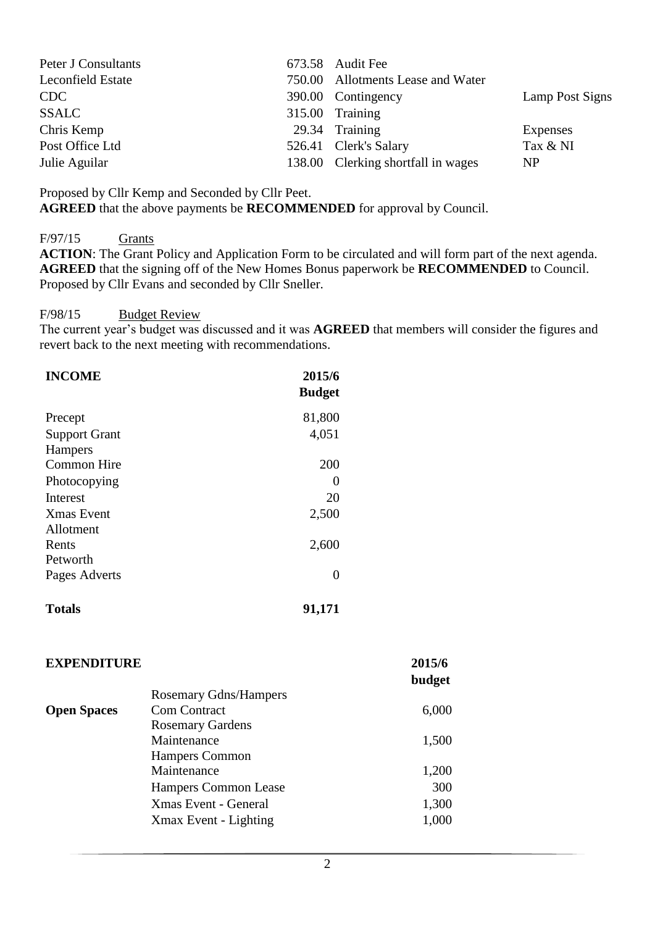|  | Lamp Post Signs                                                                                                                                                                   |
|--|-----------------------------------------------------------------------------------------------------------------------------------------------------------------------------------|
|  |                                                                                                                                                                                   |
|  | Expenses                                                                                                                                                                          |
|  | Tax & NI                                                                                                                                                                          |
|  | NP                                                                                                                                                                                |
|  | 673.58 Audit Fee<br>750.00 Allotments Lease and Water<br>390.00 Contingency<br>$315.00$ Training<br>29.34 Training<br>526.41 Clerk's Salary<br>138.00 Clerking shortfall in wages |

Proposed by Cllr Kemp and Seconded by Cllr Peet.

**AGREED** that the above payments be **RECOMMENDED** for approval by Council.

F/97/15 Grants

**ACTION**: The Grant Policy and Application Form to be circulated and will form part of the next agenda. **AGREED** that the signing off of the New Homes Bonus paperwork be **RECOMMENDED** to Council. Proposed by Cllr Evans and seconded by Cllr Sneller.

## F/98/15 Budget Review

The current year's budget was discussed and it was **AGREED** that members will consider the figures and revert back to the next meeting with recommendations.

| <b>INCOME</b>        | 2015/6<br><b>Budget</b> |
|----------------------|-------------------------|
| Precept              | 81,800                  |
| <b>Support Grant</b> | 4,051                   |
| <b>Hampers</b>       |                         |
| <b>Common Hire</b>   | 200                     |
| Photocopying         | $\theta$                |
| <b>Interest</b>      | 20                      |
| <b>Xmas</b> Event    | 2,500                   |
| Allotment            |                         |
| Rents                | 2,600                   |
| Petworth             |                         |
| Pages Adverts        | $\mathbf{0}$            |
|                      |                         |

| <b>Totals</b> | 91,171 |
|---------------|--------|
|               |        |

| <b>EXPENDITURE</b> |                              | 2015/6 |
|--------------------|------------------------------|--------|
|                    |                              | budget |
|                    | <b>Rosemary Gdns/Hampers</b> |        |
| <b>Open Spaces</b> | <b>Com Contract</b>          | 6,000  |
|                    | <b>Rosemary Gardens</b>      |        |
|                    | Maintenance                  | 1,500  |
|                    | <b>Hampers Common</b>        |        |
|                    | Maintenance                  | 1,200  |
|                    | Hampers Common Lease         | 300    |
|                    | Xmas Event - General         | 1,300  |
|                    | Xmax Event - Lighting        | 1,000  |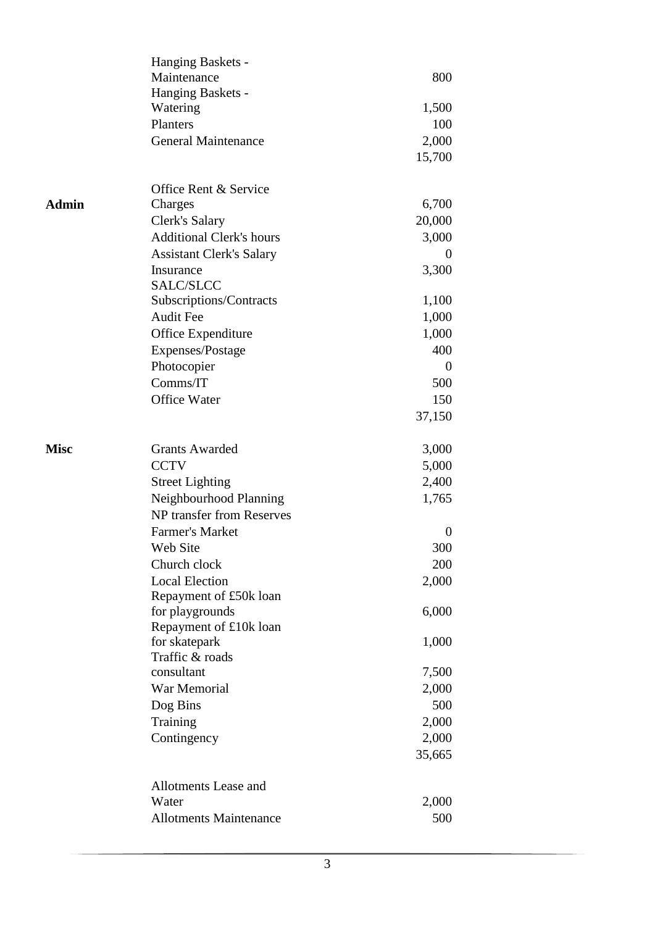|              | <b>Allotments Maintenance</b>   | 500              |
|--------------|---------------------------------|------------------|
|              | Water                           | 2,000            |
|              | Allotments Lease and            |                  |
|              |                                 |                  |
|              |                                 | 35,665           |
|              | Contingency                     | 2,000            |
|              | Training                        | 2,000            |
|              | Dog Bins                        | 500              |
|              | War Memorial                    | 2,000            |
|              | consultant                      | 7,500            |
|              | Traffic & roads                 |                  |
|              | for skatepark                   | 1,000            |
|              | Repayment of £10k loan          |                  |
|              | for playgrounds                 | 6,000            |
|              | Repayment of £50k loan          |                  |
|              | <b>Local Election</b>           | 2,000            |
|              | Church clock                    | 200              |
|              | Web Site                        | 300              |
|              | <b>Farmer's Market</b>          | $\boldsymbol{0}$ |
|              | NP transfer from Reserves       |                  |
|              | Neighbourhood Planning          | 1,765            |
|              | <b>Street Lighting</b>          | 2,400            |
|              | <b>CCTV</b>                     | 5,000            |
| <b>Misc</b>  | <b>Grants Awarded</b>           | 3,000            |
|              |                                 |                  |
|              |                                 | 37,150           |
|              | <b>Office Water</b>             | 150              |
|              | Comms/IT                        | 500              |
|              | Photocopier                     | $\overline{0}$   |
|              | Expenses/Postage                |                  |
|              |                                 | 400              |
|              | Office Expenditure              | 1,000            |
|              | <b>Audit Fee</b>                | 1,000            |
|              | Subscriptions/Contracts         | 1,100            |
|              | Insurance<br>SALC/SLCC          | 3,300            |
|              | <b>Assistant Clerk's Salary</b> | $\theta$         |
|              | <b>Additional Clerk's hours</b> | 3,000            |
|              | Clerk's Salary                  | 20,000           |
| <b>Admin</b> | Charges                         | 6,700            |
|              | Office Rent & Service           |                  |
|              |                                 |                  |
|              |                                 | 15,700           |
|              | <b>General Maintenance</b>      | 2,000            |
|              | Planters                        | 100              |
|              | Watering                        | 1,500            |
|              | Hanging Baskets -               |                  |
|              | Maintenance                     | 800              |
|              | Hanging Baskets -               |                  |
|              |                                 |                  |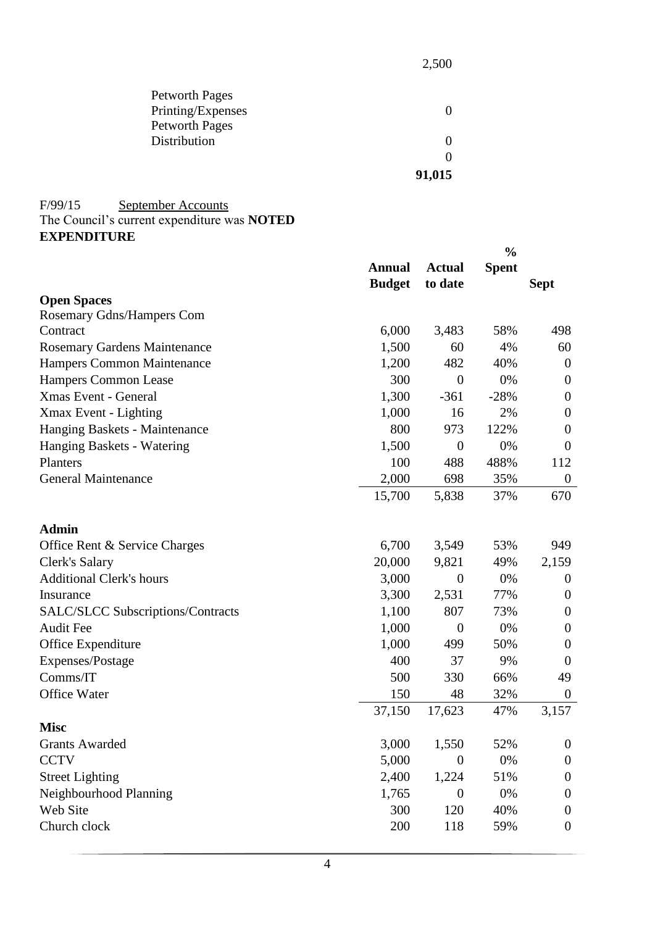| <b>Petworth Pages</b> |        |
|-----------------------|--------|
| Printing/Expenses     | 0      |
| <b>Petworth Pages</b> |        |
| Distribution          | 0      |
|                       | 0      |
|                       | 91,015 |

## F/99/15 September Accounts The Council's current expenditure was **NOTED**

| <b>EXPENDITURE</b> |  |
|--------------------|--|
|                    |  |

|                                          |               | $\frac{0}{0}$    |              |                  |  |
|------------------------------------------|---------------|------------------|--------------|------------------|--|
|                                          | <b>Annual</b> | <b>Actual</b>    | <b>Spent</b> |                  |  |
|                                          | <b>Budget</b> | to date          |              | <b>Sept</b>      |  |
| <b>Open Spaces</b>                       |               |                  |              |                  |  |
| Rosemary Gdns/Hampers Com                |               |                  |              |                  |  |
| Contract                                 | 6,000         | 3,483            | 58%          | 498              |  |
| <b>Rosemary Gardens Maintenance</b>      | 1,500         | 60               | 4%           | 60               |  |
| Hampers Common Maintenance               | 1,200         | 482              | 40%          | $\theta$         |  |
| <b>Hampers Common Lease</b>              | 300           | $\boldsymbol{0}$ | 0%           | $\overline{0}$   |  |
| <b>Xmas Event - General</b>              | 1,300         | $-361$           | $-28%$       | $\theta$         |  |
| Xmax Event - Lighting                    | 1,000         | 16               | 2%           | $\theta$         |  |
| Hanging Baskets - Maintenance            | 800           | 973              | 122%         | $\theta$         |  |
| Hanging Baskets - Watering               | 1,500         | $\theta$         | 0%           | $\overline{0}$   |  |
| Planters                                 | 100           | 488              | 488%         | 112              |  |
| <b>General Maintenance</b>               | 2,000         | 698              | 35%          | $\overline{0}$   |  |
|                                          | 15,700        | 5,838            | 37%          | 670              |  |
| <b>Admin</b>                             |               |                  |              |                  |  |
| Office Rent & Service Charges            | 6,700         | 3,549            | 53%          | 949              |  |
| Clerk's Salary                           | 20,000        | 9,821            | 49%          | 2,159            |  |
| <b>Additional Clerk's hours</b>          | 3,000         | $\theta$         | 0%           | $\overline{0}$   |  |
| Insurance                                | 3,300         | 2,531            | 77%          | $\overline{0}$   |  |
| <b>SALC/SLCC Subscriptions/Contracts</b> | 1,100         | 807              | 73%          | $\boldsymbol{0}$ |  |
| <b>Audit Fee</b>                         | 1,000         | $\boldsymbol{0}$ | 0%           | $\theta$         |  |
| Office Expenditure                       | 1,000         | 499              | 50%          | $\theta$         |  |
| Expenses/Postage                         | 400           | 37               | 9%           | $\overline{0}$   |  |
| Comms/IT                                 | 500           | 330              | 66%          | 49               |  |
| <b>Office Water</b>                      | 150           | 48               | 32%          | $\theta$         |  |
|                                          | 37,150        | 17,623           | 47%          | 3,157            |  |
| <b>Misc</b>                              |               |                  |              |                  |  |
| <b>Grants Awarded</b>                    | 3,000         | 1,550            | 52%          | $\overline{0}$   |  |
| <b>CCTV</b>                              | 5,000         | 0                | 0%           | $\overline{0}$   |  |
| <b>Street Lighting</b>                   | 2,400         | 1,224            | 51%          | $\boldsymbol{0}$ |  |
| Neighbourhood Planning                   | 1,765         | $\boldsymbol{0}$ | 0%           | $\overline{0}$   |  |
| Web Site                                 | 300           | 120              | 40%          | $\overline{0}$   |  |
| Church clock                             | 200           | 118              | 59%          | $\overline{0}$   |  |

2,500